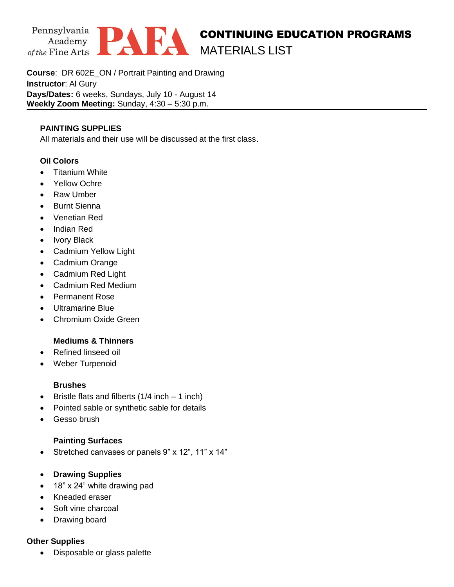

**Course**: DR 602E\_ON / Portrait Painting and Drawing **Instructor**: Al Gury **Days/Dates:** 6 weeks, Sundays, July 10 - August 14 **Weekly Zoom Meeting:** Sunday, 4:30 – 5:30 p.m.

### **PAINTING SUPPLIES**

All materials and their use will be discussed at the first class.

#### **Oil Colors**

- Titanium White
- Yellow Ochre
- Raw Umber
- Burnt Sienna
- Venetian Red
- Indian Red
- Ivory Black
- Cadmium Yellow Light
- Cadmium Orange
- Cadmium Red Light
- Cadmium Red Medium
- Permanent Rose
- Ultramarine Blue
- Chromium Oxide Green

## **Mediums & Thinners**

- Refined linseed oil
- Weber Turpenoid

#### **Brushes**

- Bristle flats and filberts  $(1/4$  inch 1 inch)
- Pointed sable or synthetic sable for details
- Gesso brush

## **Painting Surfaces**

- Stretched canvases or panels 9" x 12", 11" x 14"
- **Drawing Supplies**
- 18" x 24" white drawing pad
- Kneaded eraser
- Soft vine charcoal
- Drawing board

## **Other Supplies**

• Disposable or glass palette